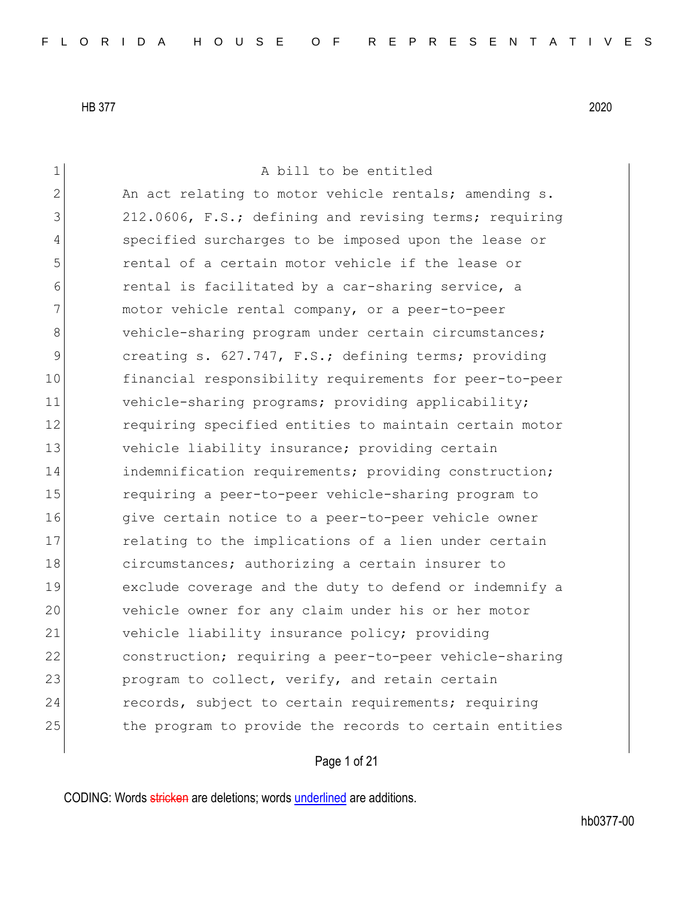1 a bill to be entitled 2 An act relating to motor vehicle rentals; amending s. 3 212.0606, F.S.; defining and revising terms; requiring 4 specified surcharges to be imposed upon the lease or 5 rental of a certain motor vehicle if the lease or 6 6 6 6 rental is facilitated by a car-sharing service, a 7 motor vehicle rental company, or a peer-to-peer 8 vehicle-sharing program under certain circumstances; 9 creating s. 627.747, F.S.; defining terms; providing 10 financial responsibility requirements for peer-to-peer 11 vehicle-sharing programs; providing applicability; 12 **12** requiring specified entities to maintain certain motor 13 vehicle liability insurance; providing certain 14 indemnification requirements; providing construction; 15 requiring a peer-to-peer vehicle-sharing program to 16 give certain notice to a peer-to-peer vehicle owner 17 17 relating to the implications of a lien under certain 18 circumstances; authorizing a certain insurer to 19 exclude coverage and the duty to defend or indemnify a 20 vehicle owner for any claim under his or her motor 21 vehicle liability insurance policy; providing 22 construction; requiring a peer-to-peer vehicle-sharing 23 program to collect, verify, and retain certain 24 records, subject to certain requirements; requiring 25 the program to provide the records to certain entities

Page 1 of 21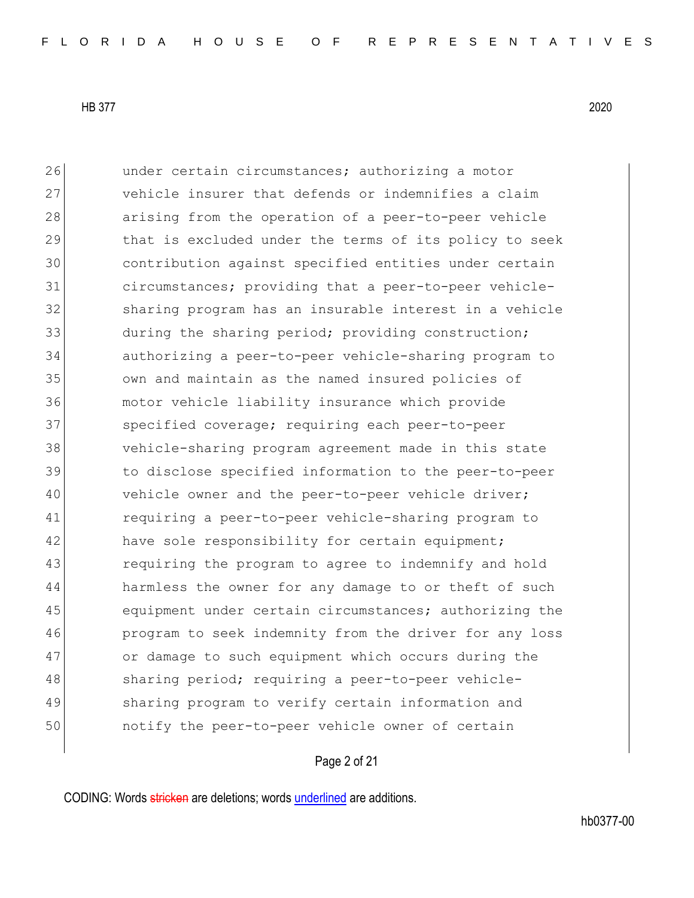26 and under certain circumstances; authorizing a motor 27 vehicle insurer that defends or indemnifies a claim 28 arising from the operation of a peer-to-peer vehicle 29 that is excluded under the terms of its policy to seek 30 contribution against specified entities under certain 31 circumstances; providing that a peer-to-peer vehicle-32 sharing program has an insurable interest in a vehicle 33 during the sharing period; providing construction; 34 authorizing a peer-to-peer vehicle-sharing program to 35 own and maintain as the named insured policies of 36 motor vehicle liability insurance which provide 37 Specified coverage; requiring each peer-to-peer 38 vehicle-sharing program agreement made in this state 39 to disclose specified information to the peer-to-peer 40 vehicle owner and the peer-to-peer vehicle driver; 41 requiring a peer-to-peer vehicle-sharing program to 42 have sole responsibility for certain equipment; 43 requiring the program to agree to indemnify and hold 44 harmless the owner for any damage to or theft of such 45 equipment under certain circumstances; authorizing the 46 program to seek indemnity from the driver for any loss 47 or damage to such equipment which occurs during the 48 sharing period; requiring a peer-to-peer vehicle-49 Sharing program to verify certain information and 50 notify the peer-to-peer vehicle owner of certain

## Page 2 of 21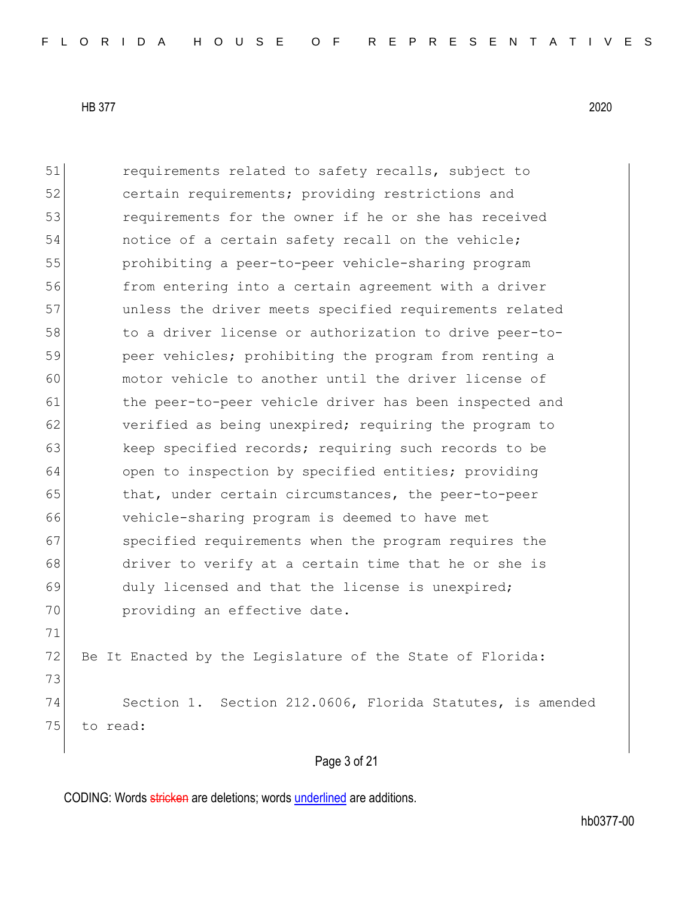75 to read:

51 requirements related to safety recalls, subject to 52 **b** certain requirements; providing restrictions and 53 requirements for the owner if he or she has received 54 notice of a certain safety recall on the vehicle; 55 prohibiting a peer-to-peer vehicle-sharing program 56 from entering into a certain agreement with a driver 57 unless the driver meets specified requirements related 58 to a driver license or authorization to drive peer-to-59 **peer vehicles;** prohibiting the program from renting a 60 motor vehicle to another until the driver license of 61 bthe peer-to-peer vehicle driver has been inspected and 62 verified as being unexpired; requiring the program to 63 keep specified records; requiring such records to be 64 open to inspection by specified entities; providing 65 that, under certain circumstances, the peer-to-peer 66 vehicle-sharing program is deemed to have met 67 specified requirements when the program requires the 68 driver to verify at a certain time that he or she is 69 duly licensed and that the license is unexpired; 70 **providing an effective date.** 71 72 Be It Enacted by the Legislature of the State of Florida: 73

Page 3 of 21

74 Section 1. Section 212.0606, Florida Statutes, is amended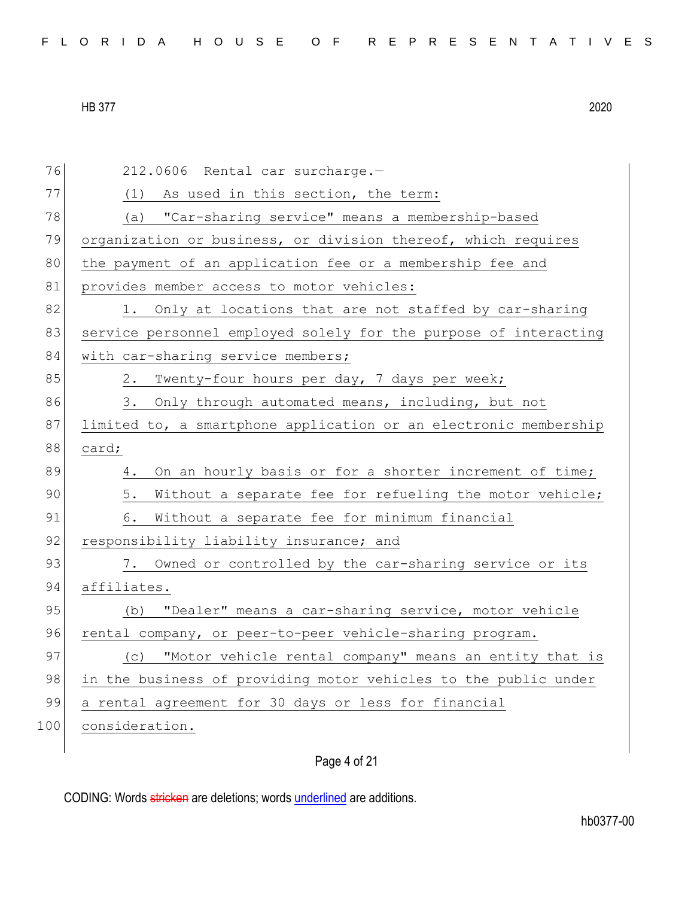| FLORIDA HOUSE OF REPRESENTATIVES |  |
|----------------------------------|--|
|----------------------------------|--|

| 76  | 212.0606 Rental car surcharge.-                                  |
|-----|------------------------------------------------------------------|
| 77  | (1) As used in this section, the term:                           |
| 78  | (a) "Car-sharing service" means a membership-based               |
| 79  | organization or business, or division thereof, which requires    |
| 80  | the payment of an application fee or a membership fee and        |
| 81  | provides member access to motor vehicles:                        |
| 82  | 1. Only at locations that are not staffed by car-sharing         |
| 83  | service personnel employed solely for the purpose of interacting |
| 84  | with car-sharing service members;                                |
| 85  | Twenty-four hours per day, 7 days per week;<br>2.                |
| 86  | 3. Only through automated means, including, but not              |
| 87  | limited to, a smartphone application or an electronic membership |
| 88  | card;                                                            |
| 89  | On an hourly basis or for a shorter increment of time;<br>4.     |
| 90  | 5.<br>Without a separate fee for refueling the motor vehicle;    |
| 91  | Without a separate fee for minimum financial<br>6.               |
| 92  | responsibility liability insurance; and                          |
| 93  | 7. Owned or controlled by the car-sharing service or its         |
| 94  | affiliates.                                                      |
| 95  | "Dealer" means a car-sharing service, motor vehicle<br>(b)       |
| 96  | rental company, or peer-to-peer vehicle-sharing program.         |
| 97  | (c) "Motor vehicle rental company" means an entity that is       |
| 98  | in the business of providing motor vehicles to the public under  |
| 99  | a rental agreement for 30 days or less for financial             |
| 100 | consideration.                                                   |
|     |                                                                  |

Page 4 of 21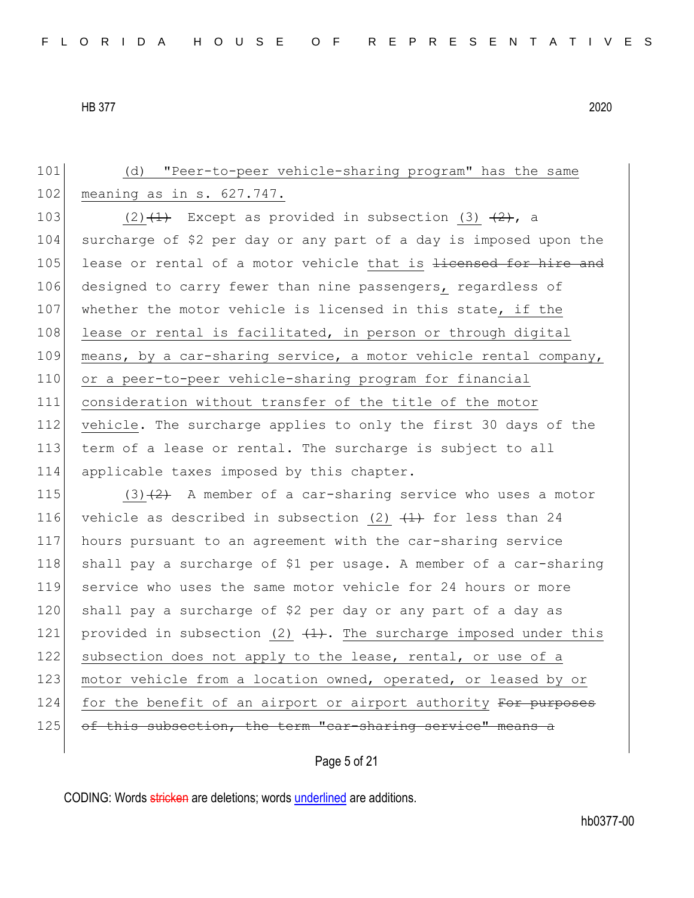101 (d) "Peer-to-peer vehicle-sharing program" has the same 102 meaning as in s. 627.747. 103 (2) $(1)$  Except as provided in subsection (3)  $(2)$ , a 104 surcharge of \$2 per day or any part of a day is imposed upon the 105 lease or rental of a motor vehicle that is <del>licensed for hire and</del> 106 designed to carry fewer than nine passengers, regardless of 107 whether the motor vehicle is licensed in this state, if the 108 lease or rental is facilitated, in person or through digital 109 means, by a car-sharing service, a motor vehicle rental company, 110 or a peer-to-peer vehicle-sharing program for financial 111 consideration without transfer of the title of the motor 112 vehicle. The surcharge applies to only the first 30 days of the 113 term of a lease or rental. The surcharge is subject to all 114 applicable taxes imposed by this chapter. 115 (3) $(2)$  A member of a car-sharing service who uses a motor 116 vehicle as described in subsection (2)  $(1)$  for less than 24 117 hours pursuant to an agreement with the car-sharing service 118 shall pay a surcharge of \$1 per usage. A member of a car-sharing 119 service who uses the same motor vehicle for 24 hours or more 120 shall pay a surcharge of \$2 per day or any part of a day as 121 provided in subsection (2)  $(1)$ . The surcharge imposed under this 122 subsection does not apply to the lease, rental, or use of a 123 motor vehicle from a location owned, operated, or leased by or 124 for the benefit of an airport or airport authority For purposes 125 of this subsection, the term "car-sharing service" means a

Page 5 of 21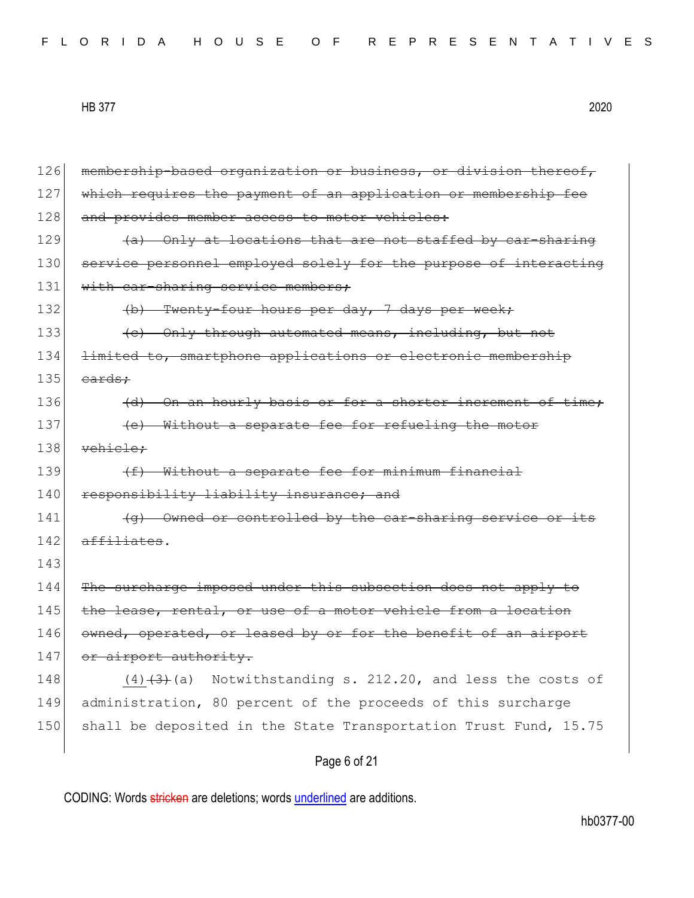|  |  |  |  |  |  | FLORIDA HOUSE OF REPRESENTATIVES |  |  |  |  |  |  |  |  |  |
|--|--|--|--|--|--|----------------------------------|--|--|--|--|--|--|--|--|--|
|--|--|--|--|--|--|----------------------------------|--|--|--|--|--|--|--|--|--|

126 membership-based organization or business, or division thereof, 127 which requires the payment of an application or membership fee 128 and provides member access to motor vehicles:  $129$  (a) Only at locations that are not staffed by car-sharing 130 service personnel employed solely for the purpose of interacting 131 with car-sharing service members; 132 (b) Twenty-four hours per day, 7 days per week; 133 (e) Only through automated means, including, but not 134 limited to, smartphone applications or electronic membership  $135$  cards: 136 (d) On an hourly basis or for a shorter increment of time; 137 **(e)** Without a separate fee for refueling the motor 138 vehicle: 139  $(f)$  Without a separate fee for minimum financial 140 responsibility liability insurance; and 141 (g) Owned or controlled by the car-sharing service or its 142 affiliates. 143 144 The surcharge imposed under this subsection does not apply to  $145$  the lease, rental, or use of a motor vehicle from a location 146 owned, operated, or leased by or for the benefit of an airport 147 or airport authority. 148  $(4)$   $(3)$  (a) Notwithstanding s. 212.20, and less the costs of 149 administration, 80 percent of the proceeds of this surcharge 150 shall be deposited in the State Transportation Trust Fund, 15.75

Page 6 of 21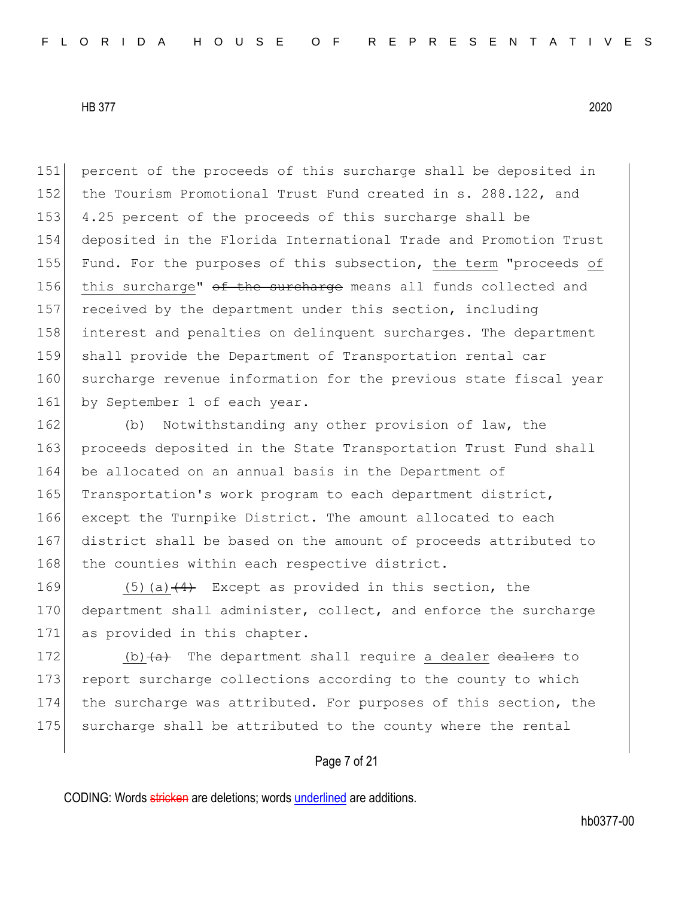151 percent of the proceeds of this surcharge shall be deposited in 152 the Tourism Promotional Trust Fund created in s. 288.122, and 153 4.25 percent of the proceeds of this surcharge shall be 154 deposited in the Florida International Trade and Promotion Trust 155 Fund. For the purposes of this subsection, the term "proceeds of 156 this surcharge" of the surcharge means all funds collected and 157 received by the department under this section, including 158 interest and penalties on delinquent surcharges. The department 159 shall provide the Department of Transportation rental car 160 surcharge revenue information for the previous state fiscal year 161 by September 1 of each year.

162 (b) Notwithstanding any other provision of law, the 163 proceeds deposited in the State Transportation Trust Fund shall 164 be allocated on an annual basis in the Department of 165 Transportation's work program to each department district, 166 except the Turnpike District. The amount allocated to each 167 district shall be based on the amount of proceeds attributed to 168 the counties within each respective district.

169  $(5)(a)$   $(4)$  Except as provided in this section, the 170 department shall administer, collect, and enforce the surcharge 171 as provided in this chapter.

 $\vert$  (b)  $\vert$  The department shall require a dealer dealers to 173 report surcharge collections according to the county to which the surcharge was attributed. For purposes of this section, the surcharge shall be attributed to the county where the rental

## Page 7 of 21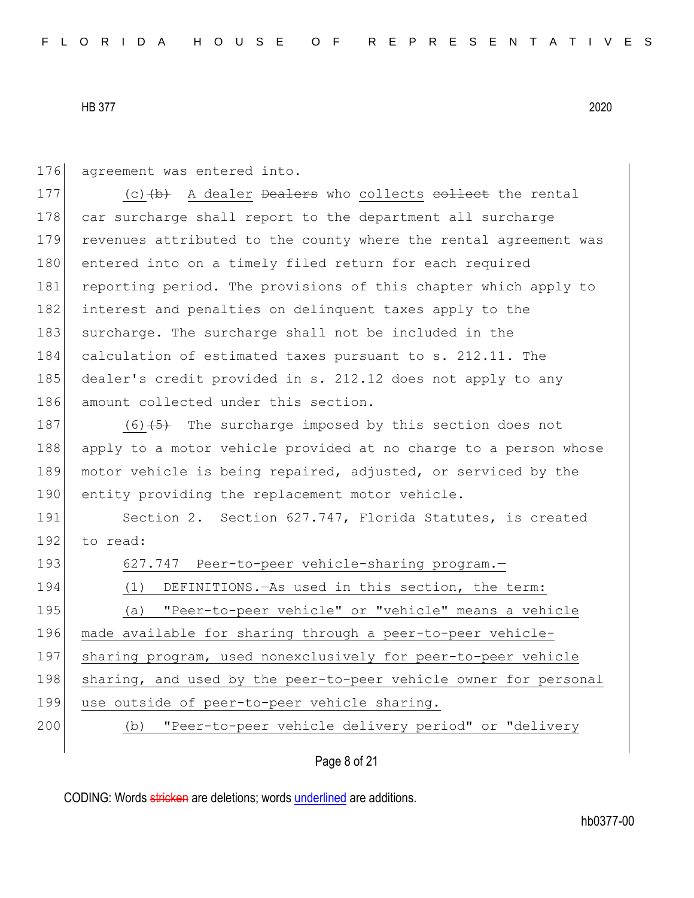176 agreement was entered into.

177  $(c)$  (c)  $(b)$  A dealer Dealers who collects collect the rental 178 car surcharge shall report to the department all surcharge 179 revenues attributed to the county where the rental agreement was 180 entered into on a timely filed return for each required 181 reporting period. The provisions of this chapter which apply to 182 interest and penalties on delinquent taxes apply to the 183 surcharge. The surcharge shall not be included in the 184 calculation of estimated taxes pursuant to s. 212.11. The 185 dealer's credit provided in s. 212.12 does not apply to any 186 amount collected under this section.

187 (6) $\left(5\right)$  The surcharge imposed by this section does not 188 apply to a motor vehicle provided at no charge to a person whose 189 motor vehicle is being repaired, adjusted, or serviced by the 190 entity providing the replacement motor vehicle.

191 Section 2. Section 627.747, Florida Statutes, is created 192 to read:

193 627.747 Peer-to-peer vehicle-sharing program.

- 194 (1) DEFINITIONS.—As used in this section, the term: 195 (a) "Peer-to-peer vehicle" or "vehicle" means a vehicle 196 made available for sharing through a peer-to-peer vehicle-197 sharing program, used nonexclusively for peer-to-peer vehicle 198 sharing, and used by the peer-to-peer vehicle owner for personal
	- 199 use outside of peer-to-peer vehicle sharing.
	-

200 (b) "Peer-to-peer vehicle delivery period" or "delivery

Page 8 of 21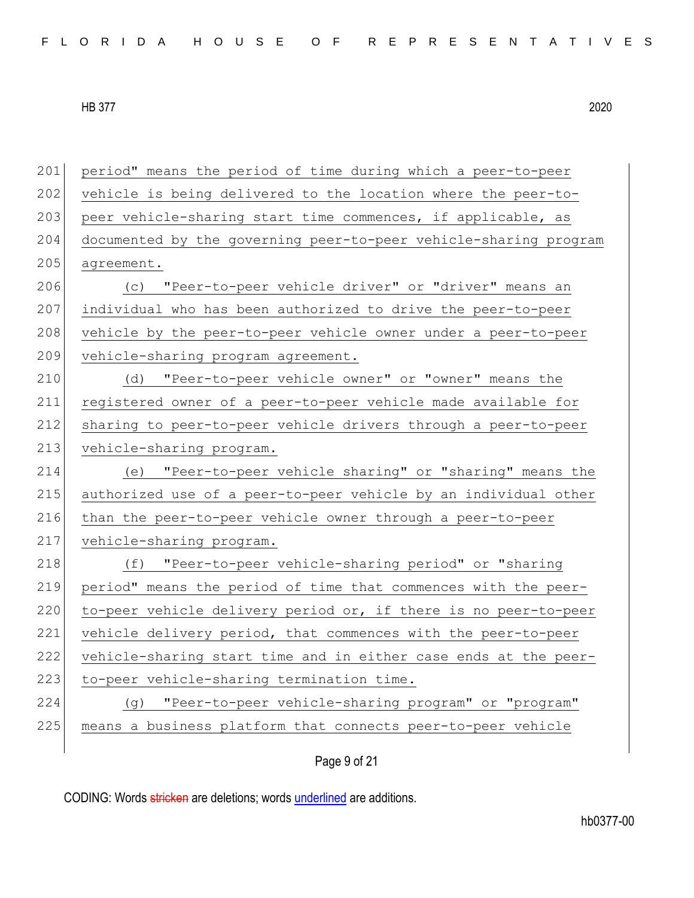| 201 | period" means the period of time during which a peer-to-peer     |
|-----|------------------------------------------------------------------|
| 202 | vehicle is being delivered to the location where the peer-to-    |
| 203 | peer vehicle-sharing start time commences, if applicable, as     |
| 204 | documented by the governing peer-to-peer vehicle-sharing program |
| 205 | agreement.                                                       |
| 206 | "Peer-to-peer vehicle driver" or "driver" means an<br>(C)        |
| 207 | individual who has been authorized to drive the peer-to-peer     |
| 208 | vehicle by the peer-to-peer vehicle owner under a peer-to-peer   |
| 209 | vehicle-sharing program agreement.                               |
| 210 | "Peer-to-peer vehicle owner" or "owner" means the<br>(d)         |
| 211 | registered owner of a peer-to-peer vehicle made available for    |
| 212 | sharing to peer-to-peer vehicle drivers through a peer-to-peer   |
| 213 | vehicle-sharing program.                                         |
| 214 | "Peer-to-peer vehicle sharing" or "sharing" means the<br>(e)     |
| 215 | authorized use of a peer-to-peer vehicle by an individual other  |
| 216 | than the peer-to-peer vehicle owner through a peer-to-peer       |
| 217 | vehicle-sharing program.                                         |
| 218 | "Peer-to-peer vehicle-sharing period" or "sharing<br>(f)         |
| 219 | period" means the period of time that commences with the peer-   |
| 220 | to-peer vehicle delivery period or, if there is no peer-to-peer  |
| 221 | vehicle delivery period, that commences with the peer-to-peer    |
| 222 | vehicle-sharing start time and in either case ends at the peer-  |
| 223 | to-peer vehicle-sharing termination time.                        |
| 224 | "Peer-to-peer vehicle-sharing program" or "program"<br>(၂)       |
| 225 | means a business platform that connects peer-to-peer vehicle     |
|     |                                                                  |

Page 9 of 21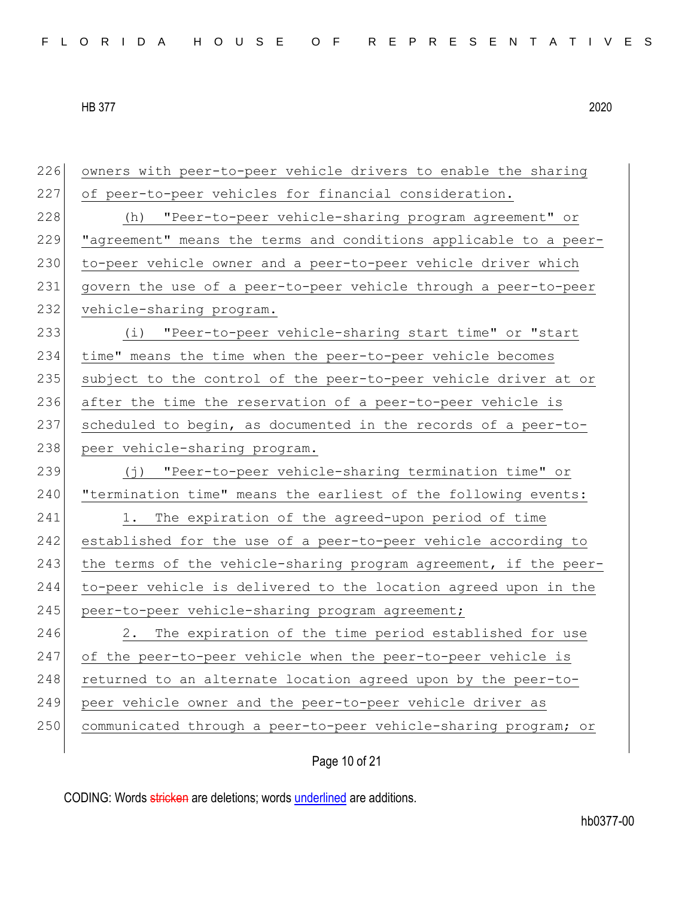| 226 | owners with peer-to-peer vehicle drivers to enable the sharing    |
|-----|-------------------------------------------------------------------|
| 227 | of peer-to-peer vehicles for financial consideration.             |
| 228 | "Peer-to-peer vehicle-sharing program agreement" or<br>(h)        |
| 229 | "agreement" means the terms and conditions applicable to a peer-  |
| 230 | to-peer vehicle owner and a peer-to-peer vehicle driver which     |
| 231 | govern the use of a peer-to-peer vehicle through a peer-to-peer   |
| 232 | vehicle-sharing program.                                          |
| 233 | (i) "Peer-to-peer vehicle-sharing start time" or "start           |
| 234 | time" means the time when the peer-to-peer vehicle becomes        |
| 235 | subject to the control of the peer-to-peer vehicle driver at or   |
| 236 | after the time the reservation of a peer-to-peer vehicle is       |
| 237 | scheduled to begin, as documented in the records of a peer-to-    |
| 238 | peer vehicle-sharing program.                                     |
|     |                                                                   |
| 239 | "Peer-to-peer vehicle-sharing termination time" or<br>$(\dagger)$ |
| 240 | "termination time" means the earliest of the following events:    |
| 241 | The expiration of the agreed-upon period of time<br>1.            |
| 242 | established for the use of a peer-to-peer vehicle according to    |
| 243 | the terms of the vehicle-sharing program agreement, if the peer-  |
| 244 | to-peer vehicle is delivered to the location agreed upon in the   |
| 245 | peer-to-peer vehicle-sharing program agreement;                   |
| 246 | The expiration of the time period established for use<br>2.       |
| 247 | of the peer-to-peer vehicle when the peer-to-peer vehicle is      |
| 248 | returned to an alternate location agreed upon by the peer-to-     |
| 249 | peer vehicle owner and the peer-to-peer vehicle driver as         |
| 250 | communicated through a peer-to-peer vehicle-sharing program; or   |

Page 10 of 21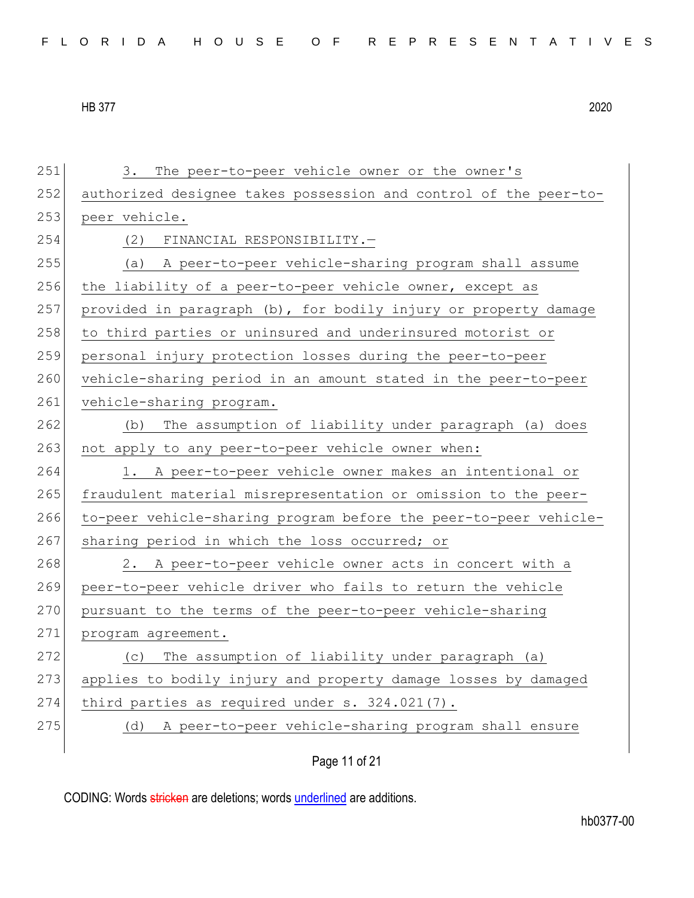| FLORIDA HOUSE OF REPRESENTATIVES |  |
|----------------------------------|--|
|----------------------------------|--|

251 3. The peer-to-peer vehicle owner or the owner's 252 authorized designee takes possession and control of the peer-to-253 peer vehicle. 254 (2) FINANCIAL RESPONSIBILITY.— 255 (a) A peer-to-peer vehicle-sharing program shall assume 256 the liability of a peer-to-peer vehicle owner, except as 257 provided in paragraph (b), for bodily injury or property damage 258 to third parties or uninsured and underinsured motorist or 259 personal injury protection losses during the peer-to-peer 260 vehicle-sharing period in an amount stated in the peer-to-peer 261 vehicle-sharing program. 262 (b) The assumption of liability under paragraph (a) does 263 not apply to any peer-to-peer vehicle owner when: 264 1. A peer-to-peer vehicle owner makes an intentional or 265 fraudulent material misrepresentation or omission to the peer-266 to-peer vehicle-sharing program before the peer-to-peer vehicle-267 sharing period in which the loss occurred; or 268 2. A peer-to-peer vehicle owner acts in concert with a 269 peer-to-peer vehicle driver who fails to return the vehicle 270 pursuant to the terms of the peer-to-peer vehicle-sharing 271 program agreement. 272 (c) The assumption of liability under paragraph (a) 273 applies to bodily injury and property damage losses by damaged 274 third parties as required under s. 324.021(7). 275 (d) A peer-to-peer vehicle-sharing program shall ensure

Page 11 of 21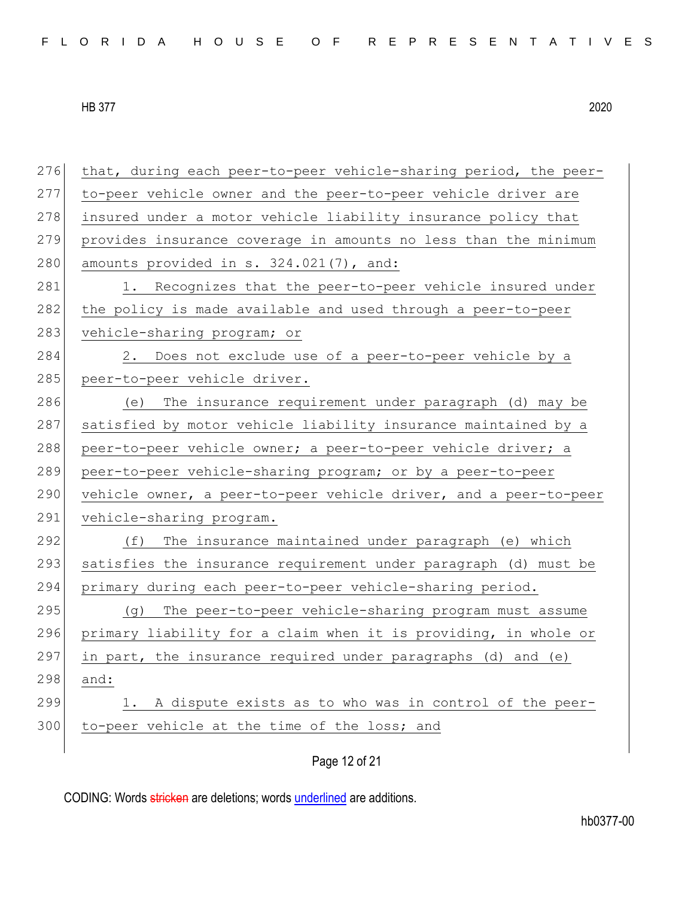276 that, during each peer-to-peer vehicle-sharing period, the peer-277 to-peer vehicle owner and the peer-to-peer vehicle driver are 278 insured under a motor vehicle liability insurance policy that 279 provides insurance coverage in amounts no less than the minimum 280 amounts provided in s.  $324.021(7)$ , and: 281 1. Recognizes that the peer-to-peer vehicle insured under 282 the policy is made available and used through a peer-to-peer 283 vehicle-sharing program; or 284 2. Does not exclude use of a peer-to-peer vehicle by a 285 peer-to-peer vehicle driver. 286 (e) The insurance requirement under paragraph (d) may be 287 satisfied by motor vehicle liability insurance maintained by a 288 peer-to-peer vehicle owner; a peer-to-peer vehicle driver; a 289 peer-to-peer vehicle-sharing program; or by a peer-to-peer 290 vehicle owner, a peer-to-peer vehicle driver, and a peer-to-peer 291 vehicle-sharing program. 292 (f) The insurance maintained under paragraph (e) which 293 satisfies the insurance requirement under paragraph (d) must be 294 primary during each peer-to-peer vehicle-sharing period. 295 (g) The peer-to-peer vehicle-sharing program must assume 296 primary liability for a claim when it is providing, in whole or 297 in part, the insurance required under paragraphs (d) and (e) 298 and: 299 1. A dispute exists as to who was in control of the peer-300 to-peer vehicle at the time of the loss; and

Page 12 of 21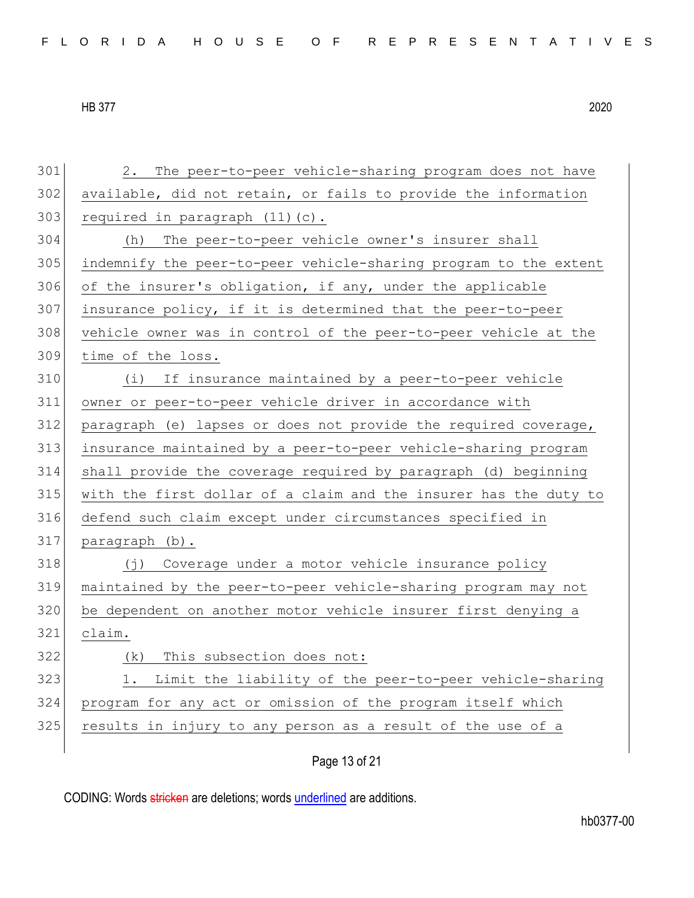| FLORIDA HOUSE OF REPRESENTATIVES |  |
|----------------------------------|--|
|----------------------------------|--|

 2. The peer-to-peer vehicle-sharing program does not have available, did not retain, or fails to provide the information required in paragraph  $(11)(c)$ . (h) The peer-to-peer vehicle owner's insurer shall indemnify the peer-to-peer vehicle-sharing program to the extent 306 of the insurer's obligation, if any, under the applicable insurance policy, if it is determined that the peer-to-peer vehicle owner was in control of the peer-to-peer vehicle at the time of the loss. (i) If insurance maintained by a peer-to-peer vehicle owner or peer-to-peer vehicle driver in accordance with paragraph (e) lapses or does not provide the required coverage, insurance maintained by a peer-to-peer vehicle-sharing program shall provide the coverage required by paragraph (d) beginning with the first dollar of a claim and the insurer has the duty to defend such claim except under circumstances specified in paragraph (b). 318 (j) Coverage under a motor vehicle insurance policy maintained by the peer-to-peer vehicle-sharing program may not be dependent on another motor vehicle insurer first denying a claim. 322 (k) This subsection does not: 323 1. Limit the liability of the peer-to-peer vehicle-sharing program for any act or omission of the program itself which 325 results in injury to any person as a result of the use of a

Page 13 of 21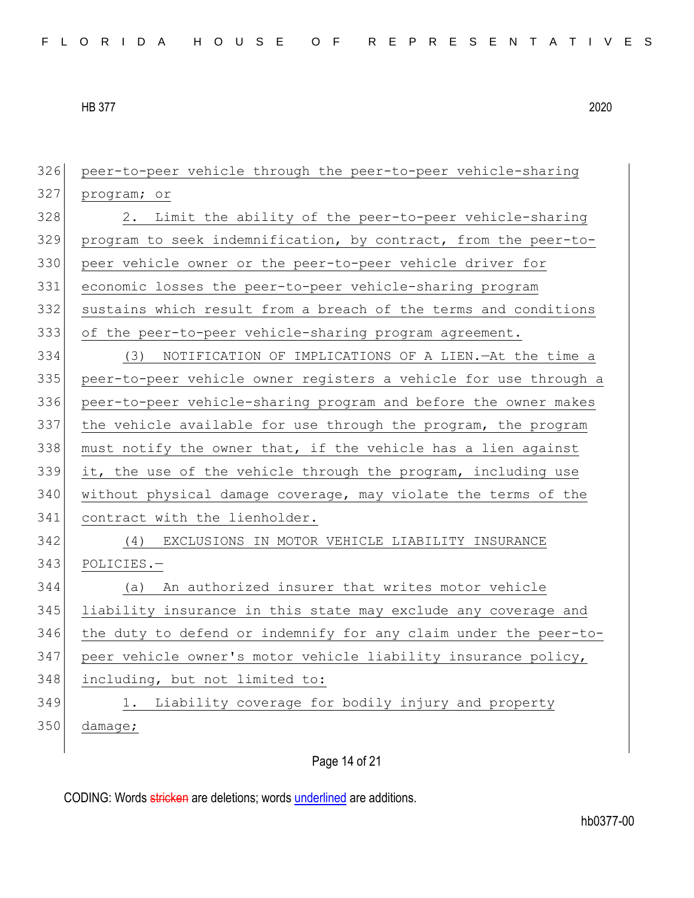peer-to-peer vehicle through the peer-to-peer vehicle-sharing program; or 328 2. Limit the ability of the peer-to-peer vehicle-sharing program to seek indemnification, by contract, from the peer-to-330 peer vehicle owner or the peer-to-peer vehicle driver for economic losses the peer-to-peer vehicle-sharing program sustains which result from a breach of the terms and conditions of the peer-to-peer vehicle-sharing program agreement. (3) NOTIFICATION OF IMPLICATIONS OF A LIEN.—At the time a peer-to-peer vehicle owner registers a vehicle for use through a peer-to-peer vehicle-sharing program and before the owner makes 337 the vehicle available for use through the program, the program must notify the owner that, if the vehicle has a lien against it, the use of the vehicle through the program, including use without physical damage coverage, may violate the terms of the 341 contract with the lienholder. (4) EXCLUSIONS IN MOTOR VEHICLE LIABILITY INSURANCE POLICIES.— (a) An authorized insurer that writes motor vehicle liability insurance in this state may exclude any coverage and the duty to defend or indemnify for any claim under the peer-to- peer vehicle owner's motor vehicle liability insurance policy, including, but not limited to: 349 1. Liability coverage for bodily injury and property 350 damage;

Page 14 of 21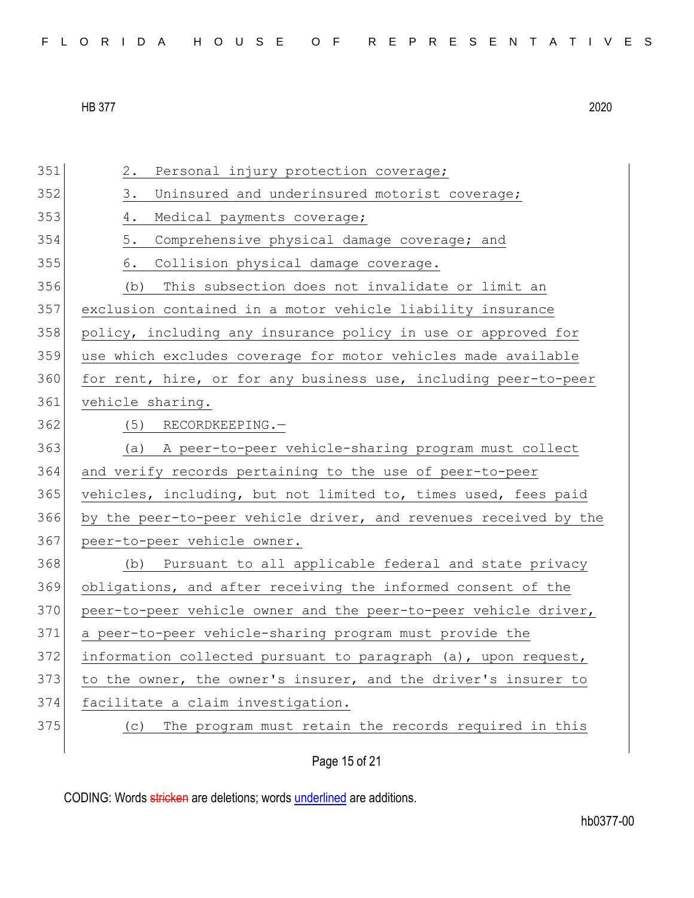| FLORIDA HOUSE OF REPRESENTATIVES |  |
|----------------------------------|--|
|----------------------------------|--|

| 351 | $2$ .<br>Personal injury protection coverage;                    |
|-----|------------------------------------------------------------------|
| 352 | 3.<br>Uninsured and underinsured motorist coverage;              |
| 353 | 4.<br>Medical payments coverage;                                 |
| 354 | 5.<br>Comprehensive physical damage coverage; and                |
| 355 | Collision physical damage coverage.<br>6.                        |
| 356 | This subsection does not invalidate or limit an<br>(b)           |
| 357 | exclusion contained in a motor vehicle liability insurance       |
| 358 | policy, including any insurance policy in use or approved for    |
| 359 | use which excludes coverage for motor vehicles made available    |
| 360 | for rent, hire, or for any business use, including peer-to-peer  |
| 361 | vehicle sharing.                                                 |
| 362 | $(5)$ RECORDKEEPING.-                                            |
| 363 | (a) A peer-to-peer vehicle-sharing program must collect          |
| 364 | and verify records pertaining to the use of peer-to-peer         |
| 365 | vehicles, including, but not limited to, times used, fees paid   |
| 366 | by the peer-to-peer vehicle driver, and revenues received by the |
| 367 | peer-to-peer vehicle owner.                                      |
| 368 | Pursuant to all applicable federal and state privacy<br>(b)      |
| 369 | obligations, and after receiving the informed consent of the     |
| 370 | peer-to-peer vehicle owner and the peer-to-peer vehicle driver,  |
| 371 | a peer-to-peer vehicle-sharing program must provide the          |
| 372 | information collected pursuant to paragraph (a), upon request,   |
| 373 | to the owner, the owner's insurer, and the driver's insurer to   |
| 374 | facilitate a claim investigation.                                |
| 375 | The program must retain the records required in this<br>(C)      |
|     | Page 15 of 21                                                    |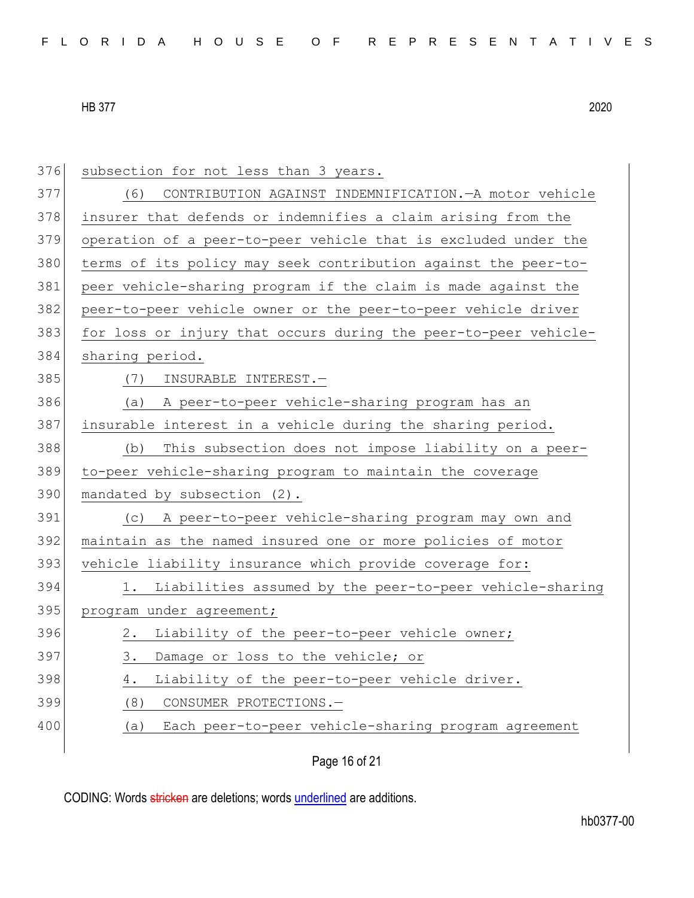| 376 | subsection for not less than 3 years.                           |
|-----|-----------------------------------------------------------------|
| 377 | CONTRIBUTION AGAINST INDEMNIFICATION. - A motor vehicle<br>(6)  |
| 378 | insurer that defends or indemnifies a claim arising from the    |
| 379 | operation of a peer-to-peer vehicle that is excluded under the  |
| 380 | terms of its policy may seek contribution against the peer-to-  |
| 381 | peer vehicle-sharing program if the claim is made against the   |
| 382 | peer-to-peer vehicle owner or the peer-to-peer vehicle driver   |
| 383 | for loss or injury that occurs during the peer-to-peer vehicle- |
| 384 | sharing period.                                                 |
| 385 | (7) INSURABLE INTEREST.-                                        |
| 386 | (a) A peer-to-peer vehicle-sharing program has an               |
| 387 | insurable interest in a vehicle during the sharing period.      |
| 388 | This subsection does not impose liability on a peer-<br>(b)     |
|     |                                                                 |
| 389 | to-peer vehicle-sharing program to maintain the coverage        |
| 390 | mandated by subsection (2).                                     |
| 391 | (c) A peer-to-peer vehicle-sharing program may own and          |
| 392 | maintain as the named insured one or more policies of motor     |
| 393 | vehicle liability insurance which provide coverage for:         |
| 394 | Liabilities assumed by the peer-to-peer vehicle-sharing<br>1.   |
| 395 | program under agreement;                                        |
| 396 | 2. Liability of the peer-to-peer vehicle owner;                 |
| 397 | 3.<br>Damage or loss to the vehicle; or                         |
| 398 | Liability of the peer-to-peer vehicle driver.<br>4.             |
| 399 | (8)<br>CONSUMER PROTECTIONS.-                                   |
| 400 | Each peer-to-peer vehicle-sharing program agreement<br>(a)      |

Page 16 of 21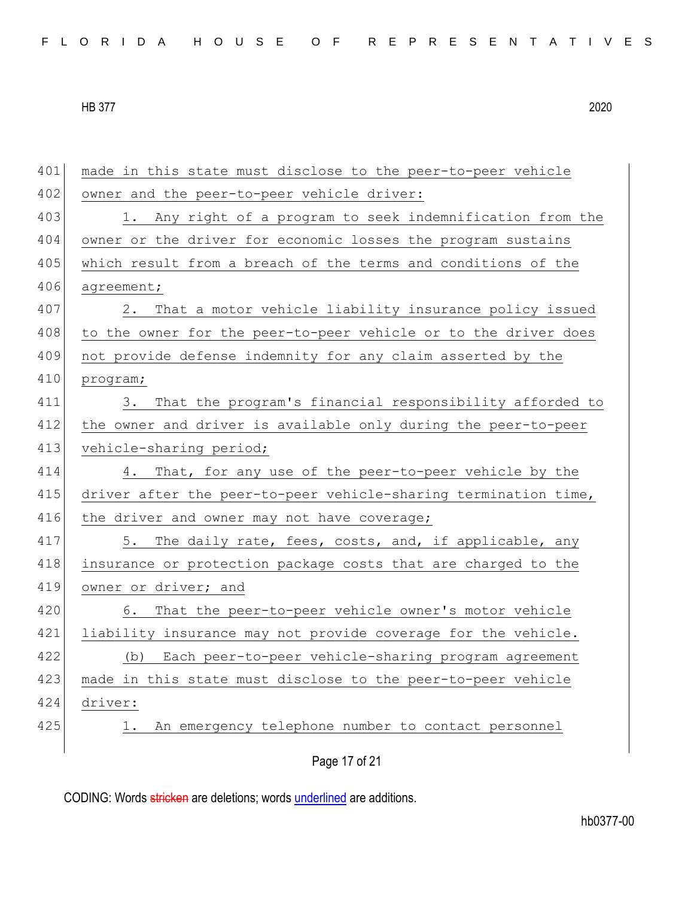401 made in this state must disclose to the peer-to-peer vehicle 402 owner and the peer-to-peer vehicle driver: 403 1. Any right of a program to seek indemnification from the 404 owner or the driver for economic losses the program sustains 405 which result from a breach of the terms and conditions of the 406 agreement; 407 2. That a motor vehicle liability insurance policy issued 408 to the owner for the peer-to-peer vehicle or to the driver does 409 not provide defense indemnity for any claim asserted by the 410 program; 411 3. That the program's financial responsibility afforded to 412 the owner and driver is available only during the peer-to-peer 413 vehicle-sharing period; 414 4. That, for any use of the peer-to-peer vehicle by the 415 driver after the peer-to-peer vehicle-sharing termination time, 416 the driver and owner may not have coverage; 417 5. The daily rate, fees, costs, and, if applicable, any 418 insurance or protection package costs that are charged to the 419 owner or driver; and 420 6. That the peer-to-peer vehicle owner's motor vehicle 421 liability insurance may not provide coverage for the vehicle. 422 (b) Each peer-to-peer vehicle-sharing program agreement 423 made in this state must disclose to the peer-to-peer vehicle 424 driver: 425 1. An emergency telephone number to contact personnel

Page 17 of 21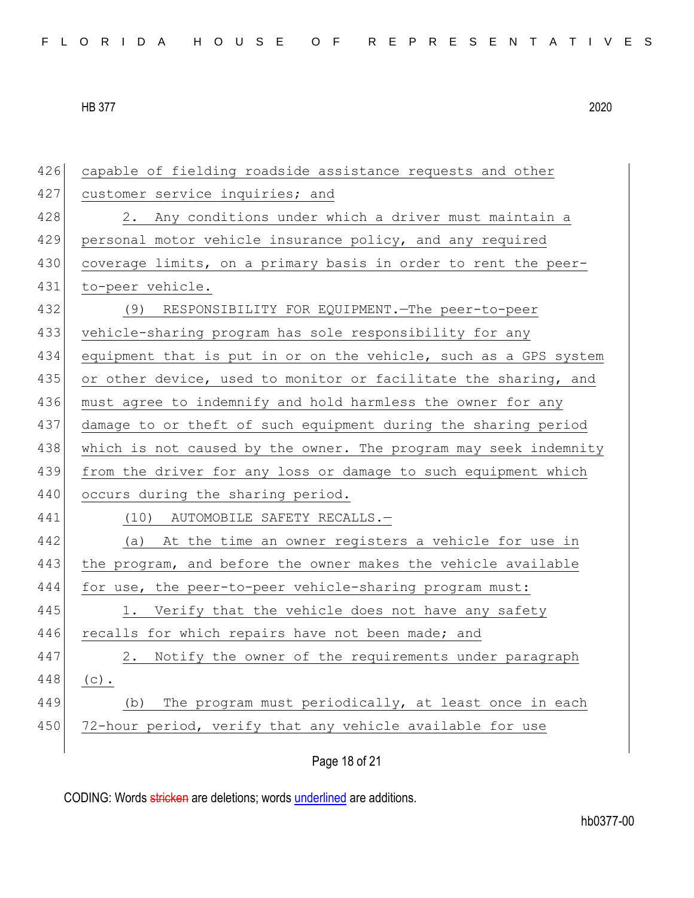426 capable of fielding roadside assistance requests and other 427 customer service inquiries; and 428 2. Any conditions under which a driver must maintain a 429 personal motor vehicle insurance policy, and any required 430 coverage limits, on a primary basis in order to rent the peer-431 to-peer vehicle. 432 (9) RESPONSIBILITY FOR EQUIPMENT.—The peer-to-peer 433 vehicle-sharing program has sole responsibility for any 434 equipment that is put in or on the vehicle, such as a GPS system 435 or other device, used to monitor or facilitate the sharing, and 436 must agree to indemnify and hold harmless the owner for any 437 damage to or theft of such equipment during the sharing period 438 which is not caused by the owner. The program may seek indemnity 439 from the driver for any loss or damage to such equipment which 440 occurs during the sharing period. 441 (10) AUTOMOBILE SAFETY RECALLS. 442 (a) At the time an owner registers a vehicle for use in 443 the program, and before the owner makes the vehicle available 444 for use, the peer-to-peer vehicle-sharing program must: 445 1. Verify that the vehicle does not have any safety 446 recalls for which repairs have not been made; and 447 2. Notify the owner of the requirements under paragraph 448 (c). 449 (b) The program must periodically, at least once in each 450 72-hour period, verify that any vehicle available for use

Page 18 of 21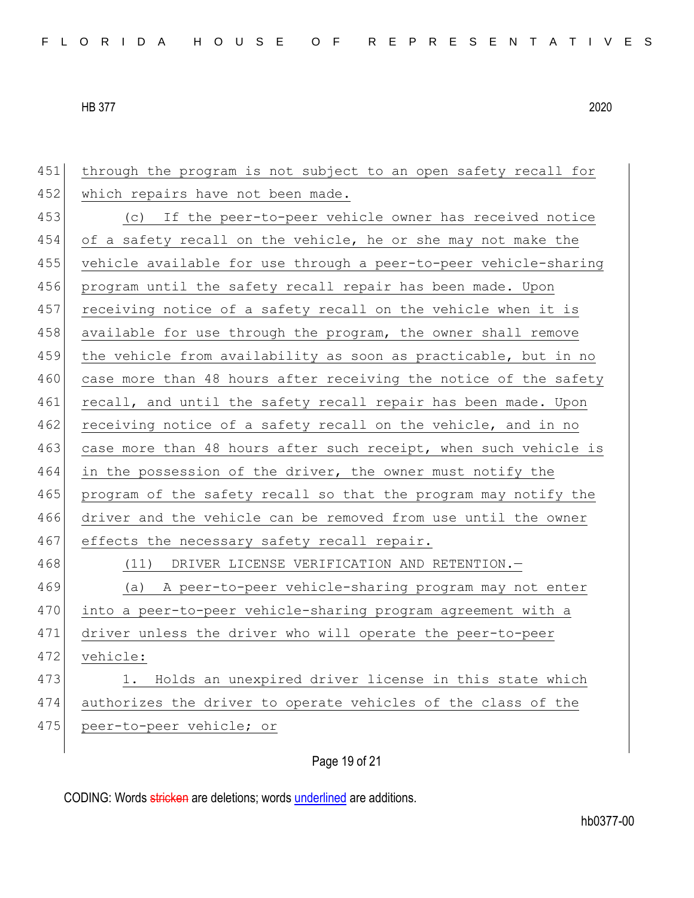451 through the program is not subject to an open safety recall for 452 which repairs have not been made. 453 (c) If the peer-to-peer vehicle owner has received notice 454 of a safety recall on the vehicle, he or she may not make the 455 vehicle available for use through a peer-to-peer vehicle-sharing 456 program until the safety recall repair has been made. Upon 457 receiving notice of a safety recall on the vehicle when it is 458 available for use through the program, the owner shall remove 459 the vehicle from availability as soon as practicable, but in no 460 case more than 48 hours after receiving the notice of the safety 461 recall, and until the safety recall repair has been made. Upon 462 receiving notice of a safety recall on the vehicle, and in no 463 case more than 48 hours after such receipt, when such vehicle is 464 in the possession of the driver, the owner must notify the 465 program of the safety recall so that the program may notify the 466 driver and the vehicle can be removed from use until the owner 467 effects the necessary safety recall repair. 468 (11) DRIVER LICENSE VERIFICATION AND RETENTION. 469 (a) A peer-to-peer vehicle-sharing program may not enter 470 into a peer-to-peer vehicle-sharing program agreement with a 471 driver unless the driver who will operate the peer-to-peer 472 vehicle: 473 1. Holds an unexpired driver license in this state which 474 authorizes the driver to operate vehicles of the class of the 475 peer-to-peer vehicle; or

## Page 19 of 21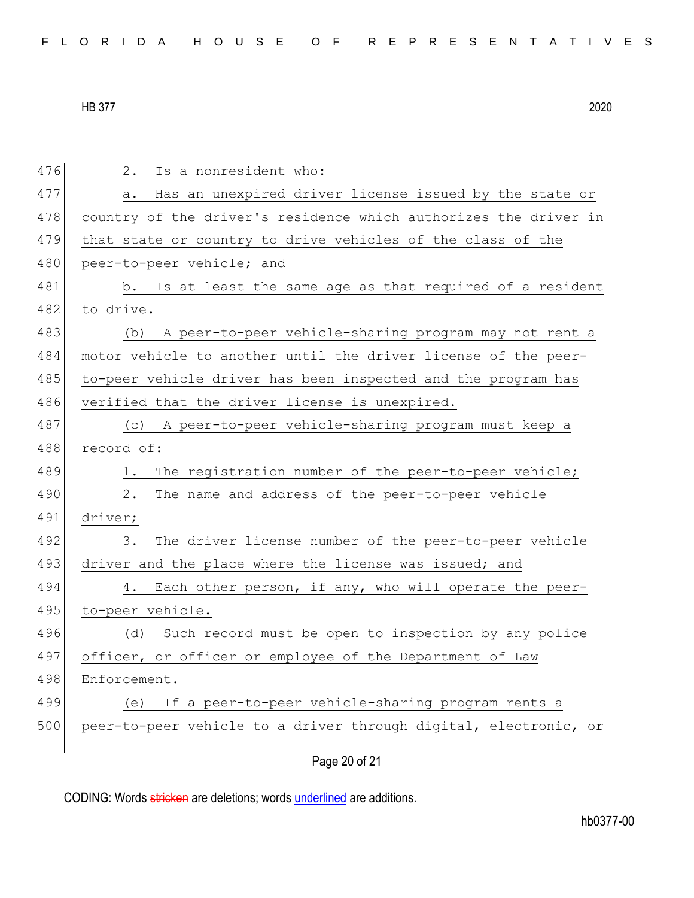| 476 | 2.<br>Is a nonresident who:                                      |
|-----|------------------------------------------------------------------|
| 477 | Has an unexpired driver license issued by the state or<br>а.     |
| 478 | country of the driver's residence which authorizes the driver in |
| 479 | that state or country to drive vehicles of the class of the      |
| 480 | peer-to-peer vehicle; and                                        |
| 481 | b. Is at least the same age as that required of a resident       |
| 482 | to drive.                                                        |
| 483 | A peer-to-peer vehicle-sharing program may not rent a<br>(b)     |
| 484 | motor vehicle to another until the driver license of the peer-   |
| 485 | to-peer vehicle driver has been inspected and the program has    |
| 486 | verified that the driver license is unexpired.                   |
| 487 | (c) A peer-to-peer vehicle-sharing program must keep a           |
| 488 | record of:                                                       |
| 489 | The registration number of the peer-to-peer vehicle;<br>1.       |
| 490 | The name and address of the peer-to-peer vehicle<br>2.           |
| 491 | driver;                                                          |
| 492 | 3.<br>The driver license number of the peer-to-peer vehicle      |
| 493 | driver and the place where the license was issued; and           |
| 494 | Each other person, if any, who will operate the peer-<br>4.      |
| 495 | to-peer vehicle.                                                 |
| 496 | Such record must be open to inspection by any police<br>(d)      |
| 497 | officer, or officer or employee of the Department of Law         |
| 498 | Enforcement.                                                     |
| 499 | If a peer-to-peer vehicle-sharing program rents a<br>(e)         |
| 500 | peer-to-peer vehicle to a driver through digital, electronic, or |
|     |                                                                  |

Page 20 of 21